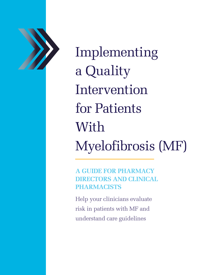

Implementing a Quality Intervention for Patients With Myelofibrosis (MF)

**A GUIDE FOR PHARMACY DIRECTORS AND CLINICAL PHARMACISTS**

Help your clinicians evaluate risk in patients with MF and understand care guidelines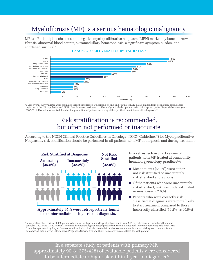# Myelofibrosis (MF) is a serious hematologic malignancy

MF is a Philadelphia chromosome-negative myeloproliferative neoplasm (MPN) marked by bone marrow fibrosis, abnormal blood counts, extramedullary hematopoiesis, a significant symptom burden, and shortened survival.<sup>1</sup>



#### **CANCER 5-YEAR OVERALL SURVIVAL RATES2,a**

"5-year overall survival rates were estimated using Surveillance, Epidemiology, and End Results (SEER) data obtained from population-based cancer<br>registries of the US population and SEER\*Stat Software version 8.3.2. The an 2007-2011. Overall survival is defined as the proportion of patients surviving at the specified time interval after diagnosis.<sup>2,3</sup>

### Risk stratification is recommended, but often not performed or inaccurate

According to the NCCN Clinical Practice Guidelines in Oncology (NCCN Guidelines®) for Myeloproliferative Neoplasms, risk stratification should be performed in all patients with MF at diagnosis and during treatment.4



a Retrospective chart review of 338 patients diagnosed with primary MF, post-polycythemia vera MF, or post-essential thrombocythemia MF between 1/2012 and 12/2016 from 28 community hematology/oncology practices in the OPEN network who were receiving care for at least<br>6 months, sponsored by Incyte. Data collected included clinical characteristics, risk asse outcomes. A data-derived International Prognostic Scoring System (IPSS) risk score was calculated for each patient.

In a separate study of patients with primary MF, approximately 90% (375/428) of evaluable patients were considered to be intermediate or high risk within 1 year of diagnosis.<sup>6</sup>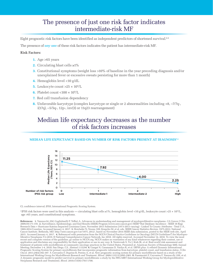### The presence of just one risk factor indicates intermediate-risk MF

Eight prognostic risk factors have been identified as independent predictors of shortened survival.<sup>6-8</sup>

The presence of *any one* of these risk factors indicates the patient has intermediate-risk MF.

#### **Risk Factors:**

- **1.** Age >65 years
- **2.** Circulating blast cells ≥1%
- **3.** Constitutional symptoms (weight loss >10% of baseline in the year preceding diagnosis and/or unexplained fever or excessive sweats persisting for more than 1 month)
- **4.** Hemoglobin level <10 g/dL
- **5.** Leukocyte count  $>25 \times 10^9$ /L
- **6.** Platelet count  $\langle 100 \times 10^9 \rangle L$
- **7.** Red cell transfusion dependency
- **8.** Unfavorable karyotype (complex karyotype or single or 2 abnormalities including +8, –7/7q-, i(17q), –5/5q-, 12p-, inv(3) or 11q23 rearrangement)

### Median life expectancy decreases as the number of risk factors increases

#### **MEDIAN LIFE EXPECTANCY BASED ON NUMBER OF RISK FACTORS PRESENT AT DIAGNOSIS7,a**



CI, confidence interval; IPSS, International Prognostic Scoring System.

<sup>a</sup> IPSS risk factors were used in this analysis — circulating blast cells ≥1%, hemoglobin level <10 g/dL, leukocyte count >25 × 109 /L, age >65 years, and constitutional symptoms.

**References: 1.** Vannucchi AM, Guglielmelli P, Tefferi A. Advances in understanding and management of myeloproliferative neoplasms. *CA Cancer J Clin.*<br>2009;59:171-191. **2.** Surveillance, Epidemiology, and End Results (S 1969-2014 Counties. Accessed January 4, 2017. 3. Howlader N, Noone AM, Krapcho M, et al, eds. SEER Cancer Statistics Review, 1975-2012, National<br>Cancer Institute. Bethesda, MD. http://seer.cancer.gov/csr/1975\_2012/, based 2015. Accessed January 4, 2017. 4. Referenced with permission from the NCCN Clinical Practice Guidelines in Oncology (NCCN Guidelines®) for Myelopro-<br>liferative Neoplasms V.2.2019. © National Comprehensive Cancer Network, treatment of patients with myelofibrosis at community oncology practices in the United States. Presented at: American Society of Hematology 60th Annual<br>Meeting; December 1-4, 2018; San Diego, CA. Abstract 115294. 6. Gangat *Oncol.* 2011;29(4):392-397. **7.** Cervantes F, Dupriez B, Pereira A, et al. New prognostic scoring system for primary myelofibrosis based on a study of the International Working Group for Myelofibrosis Research and Treatment. *Blood.* 2009;113(13):2895-2901. **8.** Passamonti F, Cervantes F, Vannucchi AM, et al. A dynamic prognostic model to predict survival in primary myelofibrosis: a study by the IWG-MRT (International Working Group for Myeloproliferative Neoplasms Research and Treatment). *Blood*. 2010;115(9):1703-1708.